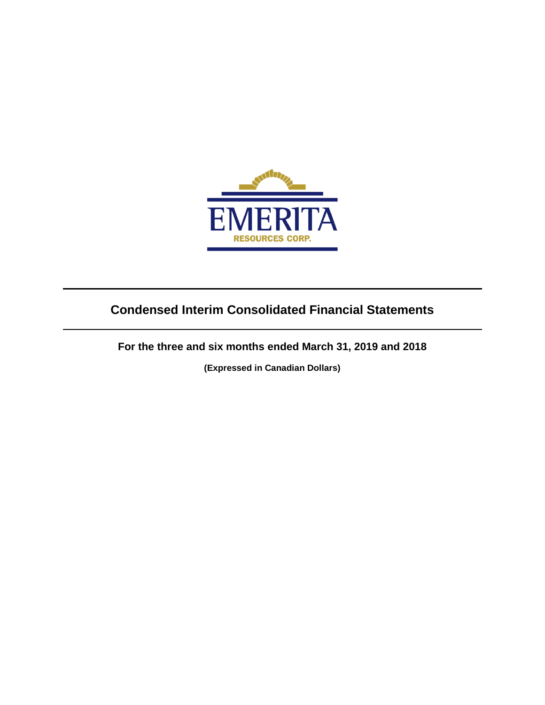

# **Condensed Interim Consolidated Financial Statements**

**For the three and six months ended March 31, 2019 and 2018**

**(Expressed in Canadian Dollars)**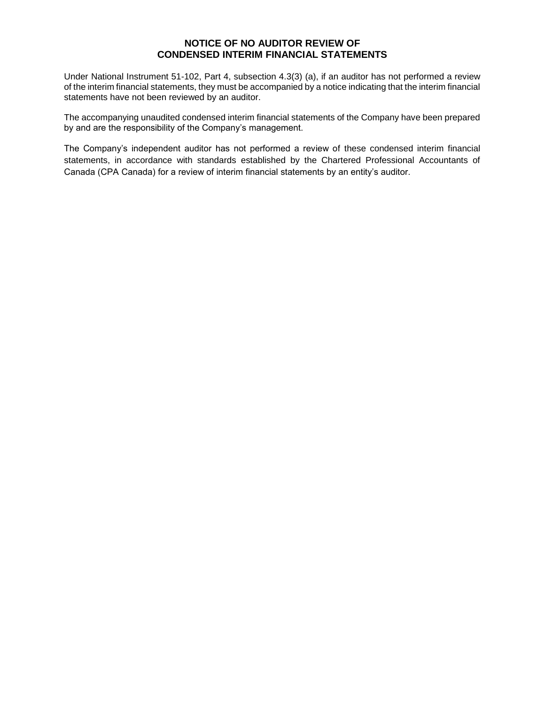## **NOTICE OF NO AUDITOR REVIEW OF CONDENSED INTERIM FINANCIAL STATEMENTS**

Under National Instrument 51-102, Part 4, subsection 4.3(3) (a), if an auditor has not performed a review of the interim financial statements, they must be accompanied by a notice indicating that the interim financial statements have not been reviewed by an auditor.

The accompanying unaudited condensed interim financial statements of the Company have been prepared by and are the responsibility of the Company's management.

The Company's independent auditor has not performed a review of these condensed interim financial statements, in accordance with standards established by the Chartered Professional Accountants of Canada (CPA Canada) for a review of interim financial statements by an entity's auditor.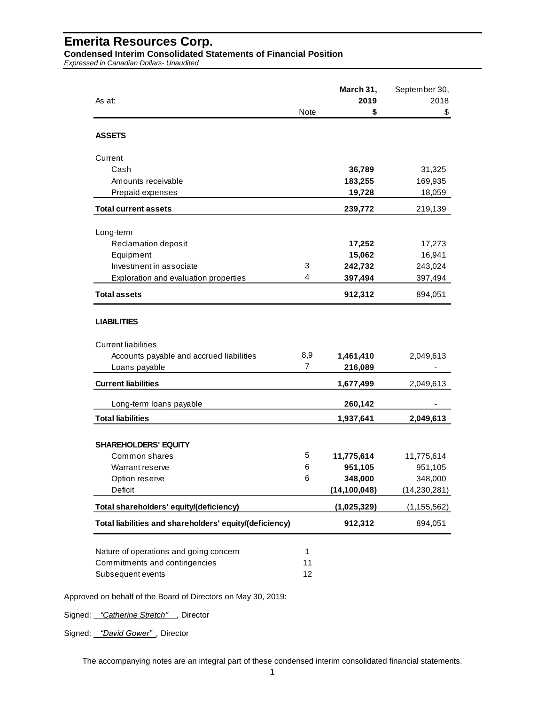**Condensed Interim Consolidated Statements of Financial Position**

*Expressed in Canadian Dollars- Unaudited*

| As at:                                                                                       |                          | March 31,<br>2019 | September 30,<br>2018 |
|----------------------------------------------------------------------------------------------|--------------------------|-------------------|-----------------------|
|                                                                                              | <b>Note</b>              | \$                | \$                    |
| <b>ASSETS</b>                                                                                |                          |                   |                       |
| Current                                                                                      |                          |                   |                       |
| Cash                                                                                         |                          | 36,789            | 31,325                |
| Amounts receivable                                                                           |                          | 183,255           | 169,935               |
| Prepaid expenses                                                                             |                          | 19,728            | 18,059                |
| <b>Total current assets</b>                                                                  |                          | 239,772           | 219,139               |
| Long-term                                                                                    |                          |                   |                       |
| Reclamation deposit                                                                          |                          | 17,252            | 17,273                |
| Equipment                                                                                    |                          | 15,062            | 16,941                |
| Investment in associate                                                                      | 3                        | 242,732           | 243,024               |
| Exploration and evaluation properties                                                        | 4                        | 397,494           | 397,494               |
| <b>Total assets</b>                                                                          |                          | 912,312           | 894,051               |
| <b>LIABILITIES</b><br><b>Current liabilities</b><br>Accounts payable and accrued liabilities | 8,9                      | 1,461,410         | 2,049,613             |
| Loans payable                                                                                | $\overline{7}$           | 216,089           |                       |
| <b>Current liabilities</b>                                                                   |                          | 1,677,499         | 2,049,613             |
| Long-term loans payable                                                                      |                          | 260,142           |                       |
| <b>Total liabilities</b>                                                                     |                          | 1,937,641         | 2,049,613             |
|                                                                                              |                          |                   |                       |
| <b>SHAREHOLDERS' EQUITY</b><br>Common shares                                                 | 5                        | 11,775,614        | 11,775,614            |
| Warrant reserve                                                                              | 6                        | 951,105           | 951,105               |
| Option reserve                                                                               | 6                        | 348,000           | 348,000               |
| Deficit                                                                                      |                          | (14, 100, 048)    | (14, 230, 281)        |
| Total shareholders' equity/(deficiency)                                                      |                          | (1,025,329)       | (1, 155, 562)         |
| Total liabilities and shareholders' equity/(deficiency)                                      |                          | 912,312           | 894,051               |
| Nature of operations and going concern<br>Commitments and contingencies<br>Subsequent events | $\mathbf{1}$<br>11<br>12 |                   |                       |

Approved on behalf of the Board of Directors on May 30, 2019:

Signed: *"Catherine Stretch" ,* Director

Signed: *"David Gower" ,* Director

The accompanying notes are an integral part of these condensed interim consolidated financial statements.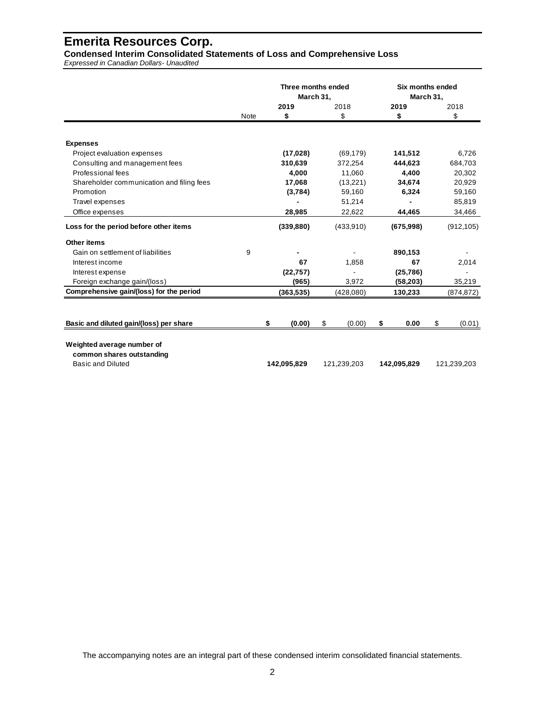**Condensed Interim Consolidated Statements of Loss and Comprehensive Loss**

*Expressed in Canadian Dollars- Unaudited*

|                                           |      | Three months ended<br>March 31, |              |    | March 31,   | Six months ended |             |
|-------------------------------------------|------|---------------------------------|--------------|----|-------------|------------------|-------------|
|                                           |      | 2019                            | 2018         |    | 2019        |                  | 2018        |
|                                           | Note | \$                              | \$           |    | \$          |                  | \$          |
|                                           |      |                                 |              |    |             |                  |             |
| <b>Expenses</b>                           |      |                                 |              |    |             |                  |             |
| Project evaluation expenses               |      | (17, 028)                       | (69, 179)    |    | 141,512     |                  | 6,726       |
| Consulting and management fees            |      | 310,639                         | 372,254      |    | 444,623     |                  | 684,703     |
| Professional fees                         |      | 4,000                           | 11,060       |    | 4,400       |                  | 20,302      |
| Shareholder communication and filing fees |      | 17,068                          | (13,221)     |    | 34,674      |                  | 20,929      |
| Promotion                                 |      | (3,784)                         | 59,160       |    | 6,324       |                  | 59,160      |
| Travel expenses                           |      |                                 | 51,214       |    |             |                  | 85,819      |
| Office expenses                           |      | 28,985                          | 22,622       |    | 44,465      |                  | 34,466      |
| Loss for the period before other items    |      | (339, 880)                      | (433,910)    |    | (675,998)   |                  | (912, 105)  |
| Other items                               |      |                                 |              |    |             |                  |             |
| Gain on settlement of liabilities         | 9    |                                 |              |    | 890,153     |                  |             |
| Interest income                           |      | 67                              | 1,858        |    | 67          |                  | 2,014       |
| Interest expense                          |      | (22, 757)                       |              |    | (25, 786)   |                  |             |
| Foreign exchange gain/(loss)              |      | (965)                           | 3,972        |    | (58, 203)   |                  | 35,219      |
| Comprehensive gain/(loss) for the period  |      | (363, 535)                      | (428, 080)   |    | 130,233     |                  | (874, 872)  |
|                                           |      |                                 |              |    |             |                  |             |
| Basic and diluted gain/(loss) per share   |      | \$<br>(0.00)                    | \$<br>(0.00) | \$ | 0.00        | \$               | (0.01)      |
|                                           |      |                                 |              |    |             |                  |             |
| Weighted average number of                |      |                                 |              |    |             |                  |             |
| common shares outstanding                 |      |                                 |              |    |             |                  |             |
| Basic and Diluted                         |      | 142,095,829                     | 121,239,203  |    | 142,095,829 |                  | 121,239,203 |

The accompanying notes are an integral part of these condensed interim consolidated financial statements.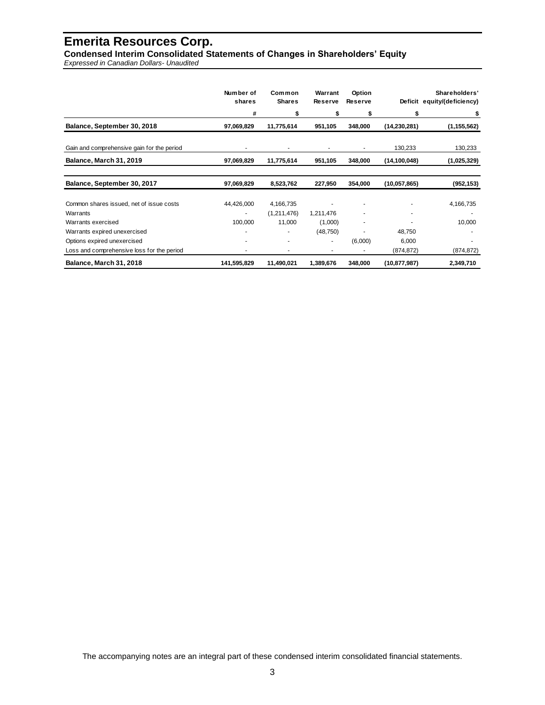**Condensed Interim Consolidated Statements of Changes in Shareholders' Equity**

*Expressed in Canadian Dollars- Unaudited*

|                                            | Number of<br>shares | Common<br><b>Shares</b> | Warrant<br><b>Reserve</b> | Option<br><b>Reserve</b> |                | Shareholders'<br>Deficit equity/(deficiency) |
|--------------------------------------------|---------------------|-------------------------|---------------------------|--------------------------|----------------|----------------------------------------------|
|                                            | #                   | \$                      | S                         | \$                       | \$             | \$                                           |
| Balance, September 30, 2018                | 97,069,829          | 11,775,614              | 951,105                   | 348,000                  | (14, 230, 281) | (1, 155, 562)                                |
| Gain and comprehensive gain for the period |                     |                         |                           |                          | 130,233        | 130,233                                      |
| Balance, March 31, 2019                    | 97,069,829          | 11,775,614              | 951,105                   | 348,000                  | (14, 100, 048) | (1,025,329)                                  |
|                                            |                     |                         |                           |                          |                |                                              |
| Balance, September 30, 2017                | 97,069,829          | 8,523,762               | 227,950                   | 354,000                  | (10,057,865)   | (952, 153)                                   |
| Common shares issued, net of issue costs   | 44,426,000          | 4,166,735               |                           |                          |                | 4,166,735                                    |
| Warrants                                   | ۰                   | (1,211,476)             | 1,211,476                 |                          | ٠              | ٠                                            |
| Warrants exercised                         | 100,000             | 11,000                  | (1,000)                   |                          |                | 10,000                                       |
| Warrants expired unexercised               |                     |                         | (48, 750)                 |                          | 48,750         |                                              |
| Options expired unexercised                |                     |                         | ۰                         | (6,000)                  | 6,000          |                                              |
| Loss and comprehensive loss for the period |                     | ٠                       | ۰                         | ٠                        | (874, 872)     | (874, 872)                                   |
| Balance, March 31, 2018                    | 141,595,829         | 11,490,021              | 1,389,676                 | 348,000                  | (10, 877, 987) | 2,349,710                                    |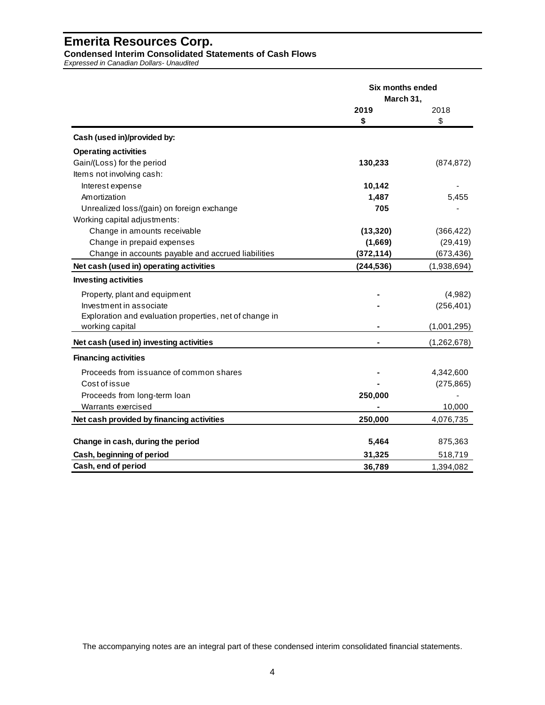**Condensed Interim Consolidated Statements of Cash Flows**

*Expressed in Canadian Dollars- Unaudited*

|                                                         | Six months ended<br>March 31, |             |  |
|---------------------------------------------------------|-------------------------------|-------------|--|
|                                                         | 2019                          | 2018        |  |
|                                                         | \$                            | \$          |  |
| Cash (used in)/provided by:                             |                               |             |  |
| <b>Operating activities</b>                             |                               |             |  |
| Gain/(Loss) for the period                              | 130,233                       | (874, 872)  |  |
| Items not involving cash:                               |                               |             |  |
| Interest expense                                        | 10,142                        |             |  |
| Amortization                                            | 1,487                         | 5,455       |  |
| Unrealized loss/(gain) on foreign exchange              | 705                           |             |  |
| Working capital adjustments:                            |                               |             |  |
| Change in amounts receivable                            | (13, 320)                     | (366, 422)  |  |
| Change in prepaid expenses                              | (1,669)                       | (29, 419)   |  |
| Change in accounts payable and accrued liabilities      | (372, 114)                    | (673, 436)  |  |
| Net cash (used in) operating activities                 | (244, 536)                    | (1,938,694) |  |
| <b>Investing activities</b>                             |                               |             |  |
| Property, plant and equipment                           |                               | (4,982)     |  |
| Investment in associate                                 |                               | (256, 401)  |  |
| Exploration and evaluation properties, net of change in |                               |             |  |
| working capital                                         |                               | (1,001,295) |  |
| Net cash (used in) investing activities                 |                               | (1,262,678) |  |
| <b>Financing activities</b>                             |                               |             |  |
| Proceeds from issuance of common shares                 |                               | 4,342,600   |  |
| Cost of issue                                           |                               | (275, 865)  |  |
| Proceeds from long-term loan                            | 250,000                       |             |  |
| Warrants exercised                                      |                               | 10,000      |  |
| Net cash provided by financing activities               | 250,000                       | 4,076,735   |  |
| Change in cash, during the period                       | 5,464                         |             |  |
|                                                         |                               | 875,363     |  |
| Cash, beginning of period                               | 31,325                        | 518,719     |  |
| Cash, end of period                                     | 36,789                        | 1,394,082   |  |

The accompanying notes are an integral part of these condensed interim consolidated financial statements.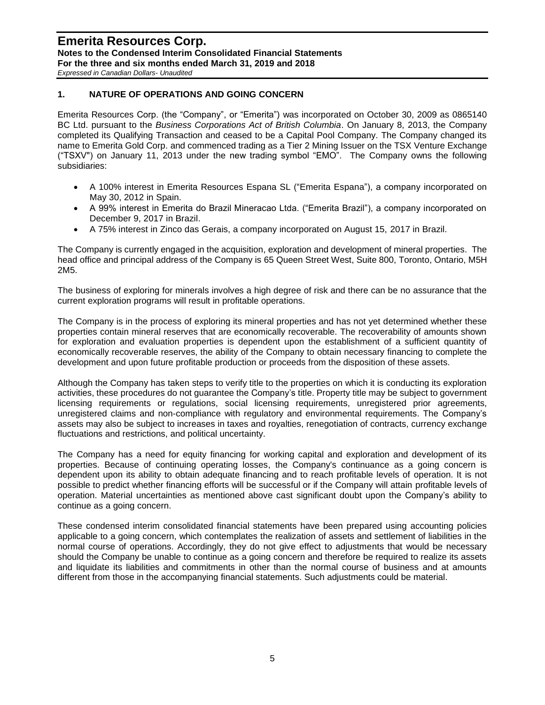*Expressed in Canadian Dollars- Unaudited*

## **1. NATURE OF OPERATIONS AND GOING CONCERN**

Emerita Resources Corp. (the "Company", or "Emerita") was incorporated on October 30, 2009 as 0865140 BC Ltd. pursuant to the *Business Corporations Act of British Columbia*. On January 8, 2013, the Company completed its Qualifying Transaction and ceased to be a Capital Pool Company. The Company changed its name to Emerita Gold Corp. and commenced trading as a Tier 2 Mining Issuer on the TSX Venture Exchange ("TSXV") on January 11, 2013 under the new trading symbol "EMO". The Company owns the following subsidiaries:

- A 100% interest in Emerita Resources Espana SL ("Emerita Espana"), a company incorporated on May 30, 2012 in Spain.
- A 99% interest in Emerita do Brazil Mineracao Ltda. ("Emerita Brazil"), a company incorporated on December 9, 2017 in Brazil.
- A 75% interest in Zinco das Gerais, a company incorporated on August 15, 2017 in Brazil.

The Company is currently engaged in the acquisition, exploration and development of mineral properties. The head office and principal address of the Company is 65 Queen Street West, Suite 800, Toronto, Ontario, M5H 2M5.

The business of exploring for minerals involves a high degree of risk and there can be no assurance that the current exploration programs will result in profitable operations.

The Company is in the process of exploring its mineral properties and has not yet determined whether these properties contain mineral reserves that are economically recoverable. The recoverability of amounts shown for exploration and evaluation properties is dependent upon the establishment of a sufficient quantity of economically recoverable reserves, the ability of the Company to obtain necessary financing to complete the development and upon future profitable production or proceeds from the disposition of these assets.

Although the Company has taken steps to verify title to the properties on which it is conducting its exploration activities, these procedures do not guarantee the Company's title. Property title may be subject to government licensing requirements or regulations, social licensing requirements, unregistered prior agreements, unregistered claims and non-compliance with regulatory and environmental requirements. The Company's assets may also be subject to increases in taxes and royalties, renegotiation of contracts, currency exchange fluctuations and restrictions, and political uncertainty.

The Company has a need for equity financing for working capital and exploration and development of its properties. Because of continuing operating losses, the Company's continuance as a going concern is dependent upon its ability to obtain adequate financing and to reach profitable levels of operation. It is not possible to predict whether financing efforts will be successful or if the Company will attain profitable levels of operation. Material uncertainties as mentioned above cast significant doubt upon the Company's ability to continue as a going concern.

These condensed interim consolidated financial statements have been prepared using accounting policies applicable to a going concern, which contemplates the realization of assets and settlement of liabilities in the normal course of operations. Accordingly, they do not give effect to adjustments that would be necessary should the Company be unable to continue as a going concern and therefore be required to realize its assets and liquidate its liabilities and commitments in other than the normal course of business and at amounts different from those in the accompanying financial statements. Such adjustments could be material.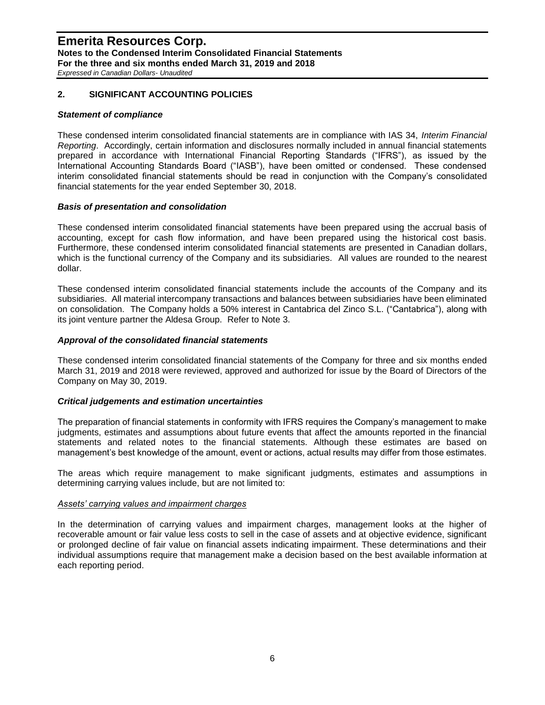*Expressed in Canadian Dollars- Unaudited*

## **2. SIGNIFICANT ACCOUNTING POLICIES**

#### *Statement of compliance*

These condensed interim consolidated financial statements are in compliance with IAS 34, *Interim Financial Reporting*. Accordingly, certain information and disclosures normally included in annual financial statements prepared in accordance with International Financial Reporting Standards ("IFRS"), as issued by the International Accounting Standards Board ("IASB"), have been omitted or condensed. These condensed interim consolidated financial statements should be read in conjunction with the Company's consolidated financial statements for the year ended September 30, 2018.

#### *Basis of presentation and consolidation*

These condensed interim consolidated financial statements have been prepared using the accrual basis of accounting, except for cash flow information, and have been prepared using the historical cost basis. Furthermore, these condensed interim consolidated financial statements are presented in Canadian dollars, which is the functional currency of the Company and its subsidiaries. All values are rounded to the nearest dollar.

These condensed interim consolidated financial statements include the accounts of the Company and its subsidiaries. All material intercompany transactions and balances between subsidiaries have been eliminated on consolidation. The Company holds a 50% interest in Cantabrica del Zinco S.L. ("Cantabrica"), along with its joint venture partner the Aldesa Group. Refer to Note 3.

### *Approval of the consolidated financial statements*

These condensed interim consolidated financial statements of the Company for three and six months ended March 31, 2019 and 2018 were reviewed, approved and authorized for issue by the Board of Directors of the Company on May 30, 2019.

### *Critical judgements and estimation uncertainties*

The preparation of financial statements in conformity with IFRS requires the Company's management to make judgments, estimates and assumptions about future events that affect the amounts reported in the financial statements and related notes to the financial statements. Although these estimates are based on management's best knowledge of the amount, event or actions, actual results may differ from those estimates.

The areas which require management to make significant judgments, estimates and assumptions in determining carrying values include, but are not limited to:

#### *Assets' carrying values and impairment charges*

In the determination of carrying values and impairment charges, management looks at the higher of recoverable amount or fair value less costs to sell in the case of assets and at objective evidence, significant or prolonged decline of fair value on financial assets indicating impairment. These determinations and their individual assumptions require that management make a decision based on the best available information at each reporting period.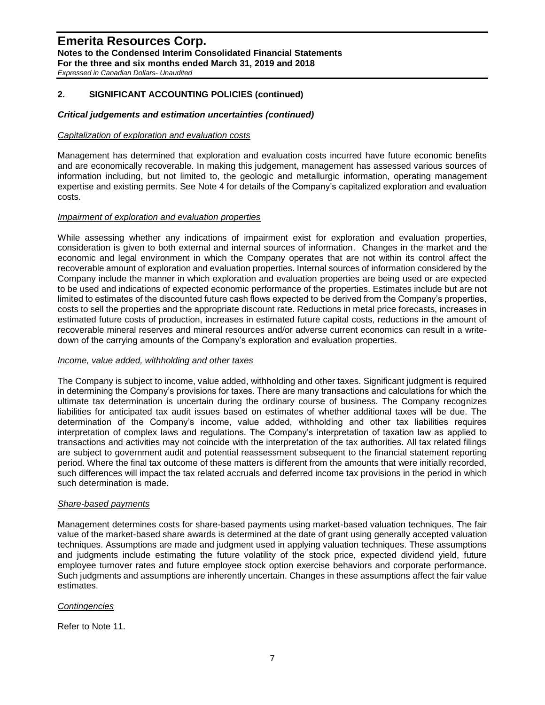*Expressed in Canadian Dollars- Unaudited*

## **2. SIGNIFICANT ACCOUNTING POLICIES (continued)**

### *Critical judgements and estimation uncertainties (continued)*

#### *Capitalization of exploration and evaluation costs*

Management has determined that exploration and evaluation costs incurred have future economic benefits and are economically recoverable. In making this judgement, management has assessed various sources of information including, but not limited to, the geologic and metallurgic information, operating management expertise and existing permits. See Note 4 for details of the Company's capitalized exploration and evaluation costs.

### *Impairment of exploration and evaluation properties*

While assessing whether any indications of impairment exist for exploration and evaluation properties, consideration is given to both external and internal sources of information. Changes in the market and the economic and legal environment in which the Company operates that are not within its control affect the recoverable amount of exploration and evaluation properties. Internal sources of information considered by the Company include the manner in which exploration and evaluation properties are being used or are expected to be used and indications of expected economic performance of the properties. Estimates include but are not limited to estimates of the discounted future cash flows expected to be derived from the Company's properties, costs to sell the properties and the appropriate discount rate. Reductions in metal price forecasts, increases in estimated future costs of production, increases in estimated future capital costs, reductions in the amount of recoverable mineral reserves and mineral resources and/or adverse current economics can result in a writedown of the carrying amounts of the Company's exploration and evaluation properties.

#### *Income, value added, withholding and other taxes*

The Company is subject to income, value added, withholding and other taxes. Significant judgment is required in determining the Company's provisions for taxes. There are many transactions and calculations for which the ultimate tax determination is uncertain during the ordinary course of business. The Company recognizes liabilities for anticipated tax audit issues based on estimates of whether additional taxes will be due. The determination of the Company's income, value added, withholding and other tax liabilities requires interpretation of complex laws and regulations. The Company's interpretation of taxation law as applied to transactions and activities may not coincide with the interpretation of the tax authorities. All tax related filings are subject to government audit and potential reassessment subsequent to the financial statement reporting period. Where the final tax outcome of these matters is different from the amounts that were initially recorded, such differences will impact the tax related accruals and deferred income tax provisions in the period in which such determination is made.

### *Share-based payments*

Management determines costs for share-based payments using market-based valuation techniques. The fair value of the market-based share awards is determined at the date of grant using generally accepted valuation techniques. Assumptions are made and judgment used in applying valuation techniques. These assumptions and judgments include estimating the future volatility of the stock price, expected dividend yield, future employee turnover rates and future employee stock option exercise behaviors and corporate performance. Such judgments and assumptions are inherently uncertain. Changes in these assumptions affect the fair value estimates.

### *Contingencies*

Refer to Note 11.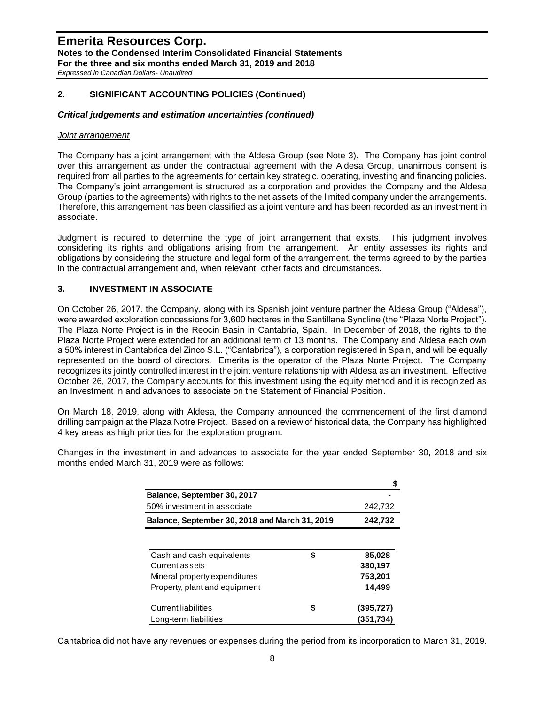### **Emerita Resources Corp. Notes to the Condensed Interim Consolidated Financial Statements For the three and six months ended March 31, 2019 and 2018** *Expressed in Canadian Dollars- Unaudited*

## **2. SIGNIFICANT ACCOUNTING POLICIES (Continued)**

## *Critical judgements and estimation uncertainties (continued)*

### *Joint arrangement*

The Company has a joint arrangement with the Aldesa Group (see Note 3). The Company has joint control over this arrangement as under the contractual agreement with the Aldesa Group, unanimous consent is required from all parties to the agreements for certain key strategic, operating, investing and financing policies. The Company's joint arrangement is structured as a corporation and provides the Company and the Aldesa Group (parties to the agreements) with rights to the net assets of the limited company under the arrangements. Therefore, this arrangement has been classified as a joint venture and has been recorded as an investment in associate.

Judgment is required to determine the type of joint arrangement that exists. This judgment involves considering its rights and obligations arising from the arrangement. An entity assesses its rights and obligations by considering the structure and legal form of the arrangement, the terms agreed to by the parties in the contractual arrangement and, when relevant, other facts and circumstances.

## **3. INVESTMENT IN ASSOCIATE**

On October 26, 2017, the Company, along with its Spanish joint venture partner the Aldesa Group ("Aldesa"), were awarded exploration concessions for 3,600 hectares in the Santillana Syncline (the "Plaza Norte Project"). The Plaza Norte Project is in the Reocin Basin in Cantabria, Spain. In December of 2018, the rights to the Plaza Norte Project were extended for an additional term of 13 months. The Company and Aldesa each own a 50% interest in Cantabrica del Zinco S.L. ("Cantabrica"), a corporation registered in Spain, and will be equally represented on the board of directors. Emerita is the operator of the Plaza Norte Project. The Company recognizes its jointly controlled interest in the joint venture relationship with Aldesa as an investment. Effective October 26, 2017, the Company accounts for this investment using the equity method and it is recognized as an Investment in and advances to associate on the Statement of Financial Position.

On March 18, 2019, along with Aldesa, the Company announced the commencement of the first diamond drilling campaign at the Plaza Notre Project. Based on a review of historical data, the Company has highlighted 4 key areas as high priorities for the exploration program.

|                                                |         | S          |
|------------------------------------------------|---------|------------|
| Balance, September 30, 2017                    |         |            |
| 50% investment in associate                    |         | 242,732    |
| Balance, September 30, 2018 and March 31, 2019 | 242,732 |            |
|                                                |         |            |
| Cash and cash equivalents                      | \$      | 85,028     |
| Current assets                                 |         | 380,197    |
| Mineral property expenditures                  |         | 753,201    |
| Property, plant and equipment                  |         | 14,499     |
| <b>Current liabilities</b>                     |         | (395, 727) |
| Long-term liabilities                          |         | (351,734)  |

Changes in the investment in and advances to associate for the year ended September 30, 2018 and six months ended March 31, 2019 were as follows:

Cantabrica did not have any revenues or expenses during the period from its incorporation to March 31, 2019.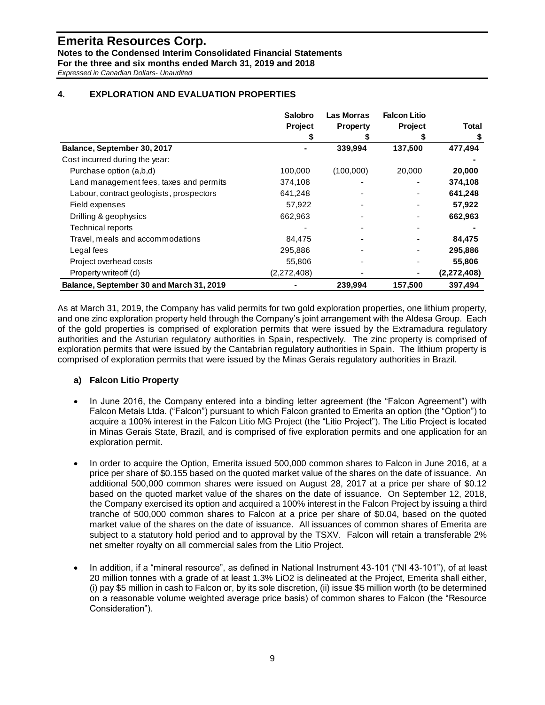**Notes to the Condensed Interim Consolidated Financial Statements**

**For the three and six months ended March 31, 2019 and 2018**

*Expressed in Canadian Dollars- Unaudited*

## **4. EXPLORATION AND EVALUATION PROPERTIES**

|                                          | <b>Salobro</b> | <b>Las Morras</b> | <b>Falcon Litio</b> |              |
|------------------------------------------|----------------|-------------------|---------------------|--------------|
|                                          | Project        | <b>Property</b>   | Project             | <b>Total</b> |
|                                          |                |                   |                     |              |
| Balance, September 30, 2017              |                | 339,994           | 137,500             | 477,494      |
| Cost incurred during the year:           |                |                   |                     |              |
| Purchase option (a,b,d)                  | 100,000        | (100,000)         | 20,000              | 20,000       |
| Land management fees, taxes and permits  | 374,108        |                   |                     | 374,108      |
| Labour, contract geologists, prospectors | 641,248        |                   |                     | 641,248      |
| Field expenses                           | 57,922         |                   |                     | 57,922       |
| Drilling & geophysics                    | 662,963        |                   |                     | 662,963      |
| Technical reports                        |                |                   |                     |              |
| Travel, meals and accommodations         | 84,475         |                   |                     | 84,475       |
| Legal fees                               | 295,886        |                   |                     | 295,886      |
| Project overhead costs                   | 55,806         |                   |                     | 55,806       |
| Property writeoff (d)                    | (2,272,408)    |                   |                     | (2,272,408)  |
| Balance, September 30 and March 31, 2019 |                | 239,994           | 157,500             | 397,494      |

As at March 31, 2019, the Company has valid permits for two gold exploration properties, one lithium property, and one zinc exploration property held through the Company's joint arrangement with the Aldesa Group. Each of the gold properties is comprised of exploration permits that were issued by the Extramadura regulatory authorities and the Asturian regulatory authorities in Spain, respectively. The zinc property is comprised of exploration permits that were issued by the Cantabrian regulatory authorities in Spain. The lithium property is comprised of exploration permits that were issued by the Minas Gerais regulatory authorities in Brazil.

## **a) Falcon Litio Property**

- In June 2016, the Company entered into a binding letter agreement (the "Falcon Agreement") with Falcon Metais Ltda. ("Falcon") pursuant to which Falcon granted to Emerita an option (the "Option") to acquire a 100% interest in the Falcon Litio MG Project (the "Litio Project"). The Litio Project is located in Minas Gerais State, Brazil, and is comprised of five exploration permits and one application for an exploration permit.
- In order to acquire the Option, Emerita issued 500,000 common shares to Falcon in June 2016, at a price per share of \$0.155 based on the quoted market value of the shares on the date of issuance. An additional 500,000 common shares were issued on August 28, 2017 at a price per share of \$0.12 based on the quoted market value of the shares on the date of issuance. On September 12, 2018, the Company exercised its option and acquired a 100% interest in the Falcon Project by issuing a third tranche of 500,000 common shares to Falcon at a price per share of \$0.04, based on the quoted market value of the shares on the date of issuance. All issuances of common shares of Emerita are subject to a statutory hold period and to approval by the TSXV. Falcon will retain a transferable 2% net smelter royalty on all commercial sales from the Litio Project.
- In addition, if a "mineral resource", as defined in National Instrument 43-101 ("NI 43-101"), of at least 20 million tonnes with a grade of at least 1.3% LiO2 is delineated at the Project, Emerita shall either, (i) pay \$5 million in cash to Falcon or, by its sole discretion, (ii) issue \$5 million worth (to be determined on a reasonable volume weighted average price basis) of common shares to Falcon (the "Resource Consideration").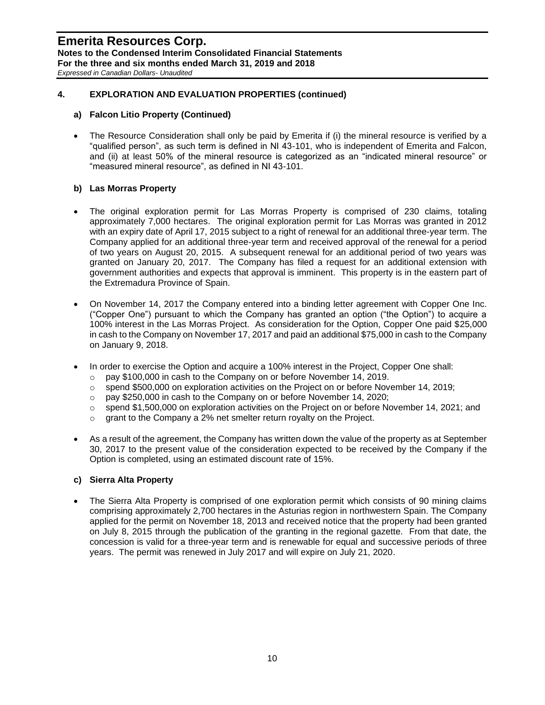## **4. EXPLORATION AND EVALUATION PROPERTIES (continued)**

### **a) Falcon Litio Property (Continued)**

• The Resource Consideration shall only be paid by Emerita if (i) the mineral resource is verified by a "qualified person", as such term is defined in NI 43-101, who is independent of Emerita and Falcon, and (ii) at least 50% of the mineral resource is categorized as an "indicated mineral resource" or "measured mineral resource", as defined in NI 43-101.

## **b) Las Morras Property**

- The original exploration permit for Las Morras Property is comprised of 230 claims, totaling approximately 7,000 hectares. The original exploration permit for Las Morras was granted in 2012 with an expiry date of April 17, 2015 subject to a right of renewal for an additional three-year term. The Company applied for an additional three-year term and received approval of the renewal for a period of two years on August 20, 2015. A subsequent renewal for an additional period of two years was granted on January 20, 2017. The Company has filed a request for an additional extension with government authorities and expects that approval is imminent. This property is in the eastern part of the Extremadura Province of Spain.
- On November 14, 2017 the Company entered into a binding letter agreement with Copper One Inc. ("Copper One") pursuant to which the Company has granted an option ("the Option") to acquire a 100% interest in the Las Morras Project. As consideration for the Option, Copper One paid \$25,000 in cash to the Company on November 17, 2017 and paid an additional \$75,000 in cash to the Company on January 9, 2018.
- In order to exercise the Option and acquire a 100% interest in the Project, Copper One shall:
	- o pay \$100,000 in cash to the Company on or before November 14, 2019.
	- o spend \$500,000 on exploration activities on the Project on or before November 14, 2019;
	- o pay \$250,000 in cash to the Company on or before November 14, 2020;
	- $\circ$  spend \$1,500,000 on exploration activities on the Project on or before November 14, 2021; and
	- $\circ$  grant to the Company a 2% net smelter return royalty on the Project.
- As a result of the agreement, the Company has written down the value of the property as at September 30, 2017 to the present value of the consideration expected to be received by the Company if the Option is completed, using an estimated discount rate of 15%.

### **c) Sierra Alta Property**

The Sierra Alta Property is comprised of one exploration permit which consists of 90 mining claims comprising approximately 2,700 hectares in the Asturias region in northwestern Spain. The Company applied for the permit on November 18, 2013 and received notice that the property had been granted on July 8, 2015 through the publication of the granting in the regional gazette. From that date, the concession is valid for a three-year term and is renewable for equal and successive periods of three years. The permit was renewed in July 2017 and will expire on July 21, 2020.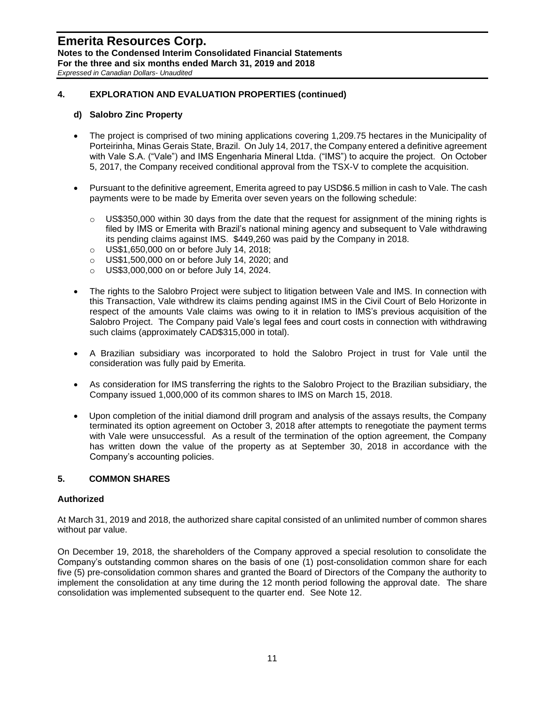## **4. EXPLORATION AND EVALUATION PROPERTIES (continued)**

### **d) Salobro Zinc Property**

- The project is comprised of two mining applications covering 1,209.75 hectares in the Municipality of Porteirinha, Minas Gerais State, Brazil. On July 14, 2017, the Company entered a definitive agreement with Vale S.A. ("Vale") and IMS Engenharia Mineral Ltda. ("IMS") to acquire the project. On October 5, 2017, the Company received conditional approval from the TSX-V to complete the acquisition.
- Pursuant to the definitive agreement, Emerita agreed to pay USD\$6.5 million in cash to Vale. The cash payments were to be made by Emerita over seven years on the following schedule:
	- $\circ$  US\$350,000 within 30 days from the date that the request for assignment of the mining rights is filed by IMS or Emerita with Brazil's national mining agency and subsequent to Vale withdrawing its pending claims against IMS. \$449,260 was paid by the Company in 2018.
	- o US\$1,650,000 on or before July 14, 2018;
	- o US\$1,500,000 on or before July 14, 2020; and
	- o US\$3,000,000 on or before July 14, 2024.
- The rights to the Salobro Project were subject to litigation between Vale and IMS. In connection with this Transaction, Vale withdrew its claims pending against IMS in the Civil Court of Belo Horizonte in respect of the amounts Vale claims was owing to it in relation to IMS's previous acquisition of the Salobro Project. The Company paid Vale's legal fees and court costs in connection with withdrawing such claims (approximately CAD\$315,000 in total).
- A Brazilian subsidiary was incorporated to hold the Salobro Project in trust for Vale until the consideration was fully paid by Emerita.
- As consideration for IMS transferring the rights to the Salobro Project to the Brazilian subsidiary, the Company issued 1,000,000 of its common shares to IMS on March 15, 2018.
- Upon completion of the initial diamond drill program and analysis of the assays results, the Company terminated its option agreement on October 3, 2018 after attempts to renegotiate the payment terms with Vale were unsuccessful. As a result of the termination of the option agreement, the Company has written down the value of the property as at September 30, 2018 in accordance with the Company's accounting policies.

### **5. COMMON SHARES**

#### **Authorized**

At March 31, 2019 and 2018, the authorized share capital consisted of an unlimited number of common shares without par value.

On December 19, 2018, the shareholders of the Company approved a special resolution to consolidate the Company's outstanding common shares on the basis of one (1) post-consolidation common share for each five (5) pre-consolidation common shares and granted the Board of Directors of the Company the authority to implement the consolidation at any time during the 12 month period following the approval date. The share consolidation was implemented subsequent to the quarter end. See Note 12.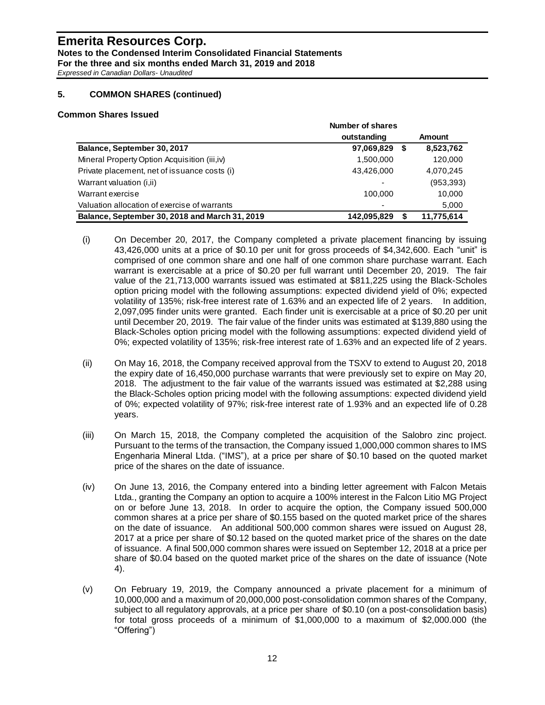### **Emerita Resources Corp. Notes to the Condensed Interim Consolidated Financial Statements For the three and six months ended March 31, 2019 and 2018** *Expressed in Canadian Dollars- Unaudited*

**5. COMMON SHARES (continued)**

#### **Common Shares Issued**

|                                                | Number of shares         |            |
|------------------------------------------------|--------------------------|------------|
|                                                | outstanding              | Amount     |
| Balance, September 30, 2017                    | 97,069,829<br>\$         | 8,523,762  |
| Mineral Property Option Acquisition (iii,iv)   | 1,500,000                | 120,000    |
| Private placement, net of issuance costs (i)   | 43,426,000               | 4,070,245  |
| Warrant valuation (i,ii)                       | ٠                        | (953, 393) |
| Warrant exercise                               | 100.000                  | 10,000     |
| Valuation allocation of exercise of warrants   | $\overline{\phantom{0}}$ | 5,000      |
| Balance, September 30, 2018 and March 31, 2019 | 142,095,829              | 11,775,614 |

- (i) On December 20, 2017, the Company completed a private placement financing by issuing 43,426,000 units at a price of \$0.10 per unit for gross proceeds of \$4,342,600. Each "unit" is comprised of one common share and one half of one common share purchase warrant. Each warrant is exercisable at a price of \$0.20 per full warrant until December 20, 2019. The fair value of the 21,713,000 warrants issued was estimated at \$811,225 using the Black-Scholes option pricing model with the following assumptions: expected dividend yield of 0%; expected volatility of 135%; risk-free interest rate of 1.63% and an expected life of 2 years. In addition, 2,097,095 finder units were granted. Each finder unit is exercisable at a price of \$0.20 per unit until December 20, 2019. The fair value of the finder units was estimated at \$139,880 using the Black-Scholes option pricing model with the following assumptions: expected dividend yield of 0%; expected volatility of 135%; risk-free interest rate of 1.63% and an expected life of 2 years.
- (ii) On May 16, 2018, the Company received approval from the TSXV to extend to August 20, 2018 the expiry date of 16,450,000 purchase warrants that were previously set to expire on May 20, 2018. The adjustment to the fair value of the warrants issued was estimated at \$2,288 using the Black-Scholes option pricing model with the following assumptions: expected dividend yield of 0%; expected volatility of 97%; risk-free interest rate of 1.93% and an expected life of 0.28 years.
- (iii) On March 15, 2018, the Company completed the acquisition of the Salobro zinc project. Pursuant to the terms of the transaction, the Company issued 1,000,000 common shares to IMS Engenharia Mineral Ltda. ("IMS"), at a price per share of \$0.10 based on the quoted market price of the shares on the date of issuance.
- (iv) On June 13, 2016, the Company entered into a binding letter agreement with Falcon Metais Ltda., granting the Company an option to acquire a 100% interest in the Falcon Litio MG Project on or before June 13, 2018. In order to acquire the option, the Company issued 500,000 common shares at a price per share of \$0.155 based on the quoted market price of the shares on the date of issuance. An additional 500,000 common shares were issued on August 28, 2017 at a price per share of \$0.12 based on the quoted market price of the shares on the date of issuance. A final 500,000 common shares were issued on September 12, 2018 at a price per share of \$0.04 based on the quoted market price of the shares on the date of issuance (Note 4).
- (v) On February 19, 2019, the Company announced a private placement for a minimum of 10,000,000 and a maximum of 20,000,000 post-consolidation common shares of the Company, subject to all regulatory approvals, at a price per share of \$0.10 (on a post-consolidation basis) for total gross proceeds of a minimum of \$1,000,000 to a maximum of \$2,000.000 (the "Offering")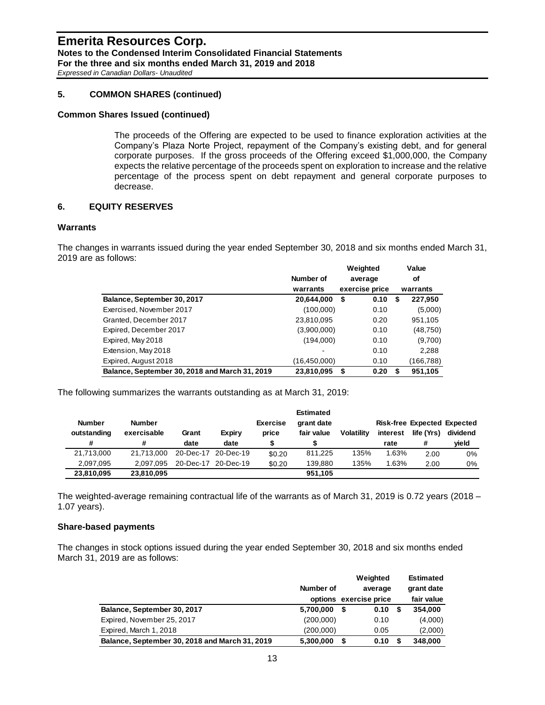## **5. COMMON SHARES (continued)**

#### **Common Shares Issued (continued)**

The proceeds of the Offering are expected to be used to finance exploration activities at the Company's Plaza Norte Project, repayment of the Company's existing debt, and for general corporate purposes. If the gross proceeds of the Offering exceed \$1,000,000, the Company expects the relative percentage of the proceeds spent on exploration to increase and the relative percentage of the process spent on debt repayment and general corporate purposes to decrease.

### **6. EQUITY RESERVES**

#### **Warrants**

The changes in warrants issued during the year ended September 30, 2018 and six months ended March 31, 2019 are as follows:

|                                                |              | Weighted       | Value        |
|------------------------------------------------|--------------|----------------|--------------|
|                                                | Number of    | average        | οf           |
|                                                | warrants     | exercise price | warrants     |
| Balance, September 30, 2017                    | 20,644,000   | 0.10<br>\$     | 227,950<br>S |
| Exercised, November 2017                       | (100,000)    | 0.10           | (5,000)      |
| Granted, December 2017                         | 23,810,095   | 0.20           | 951,105      |
| Expired, December 2017                         | (3,900,000)  | 0.10           | (48,750)     |
| Expired, May 2018                              | (194,000)    | 0.10           | (9,700)      |
| Extension, May 2018                            |              | 0.10           | 2,288        |
| Expired, August 2018                           | (16,450,000) | 0.10           | (166,788)    |
| Balance, September 30, 2018 and March 31, 2019 | 23,810,095   | 0.20<br>\$     | 951,105      |

The following summarizes the warrants outstanding as at March 31, 2019:

|               |               |       |                     |                 | <b>Estimated</b> |                   |          |            |                                    |
|---------------|---------------|-------|---------------------|-----------------|------------------|-------------------|----------|------------|------------------------------------|
| <b>Number</b> | <b>Number</b> |       |                     | <b>Exercise</b> | grant date       |                   |          |            | <b>Risk-free Expected Expected</b> |
| outstanding   | exercisable   | Grant | Expiry              | price           | fair value       | <b>Volatility</b> | interest | life (Yrs) | dividend                           |
| #             | #             | date  | date                |                 |                  |                   | rate     | #          | vield                              |
| 21,713,000    | 21.713.000    |       | 20-Dec-17 20-Dec-19 | \$0.20          | 811,225          | 135%              | 1.63%    | 2.00       | $0\%$                              |
| 2.097.095     | 2.097.095     |       | 20-Dec-17 20-Dec-19 | \$0.20          | 139.880          | 135%              | 1.63%    | 2.00       | 0%                                 |
| 23,810,095    | 23.810.095    |       |                     |                 | 951.105          |                   |          |            |                                    |

The weighted-average remaining contractual life of the warrants as of March 31, 2019 is 0.72 years (2018 – 1.07 years).

#### **Share-based payments**

The changes in stock options issued during the year ended September 30, 2018 and six months ended March 31, 2019 are as follows:

|                                                | Number of | Weighted<br>average<br>options exercise price |      |   | <b>Estimated</b><br>grant date<br>fair value |  |  |
|------------------------------------------------|-----------|-----------------------------------------------|------|---|----------------------------------------------|--|--|
| Balance, September 30, 2017                    | 5,700,000 | \$                                            | 0.10 | S | 354,000                                      |  |  |
| Expired, November 25, 2017                     | (200,000) |                                               | 0.10 |   | (4,000)                                      |  |  |
| Expired, March 1, 2018                         | (200,000) |                                               | 0.05 |   | (2,000)                                      |  |  |
| Balance, September 30, 2018 and March 31, 2019 | 5,300,000 | S                                             | 0.10 |   | 348,000                                      |  |  |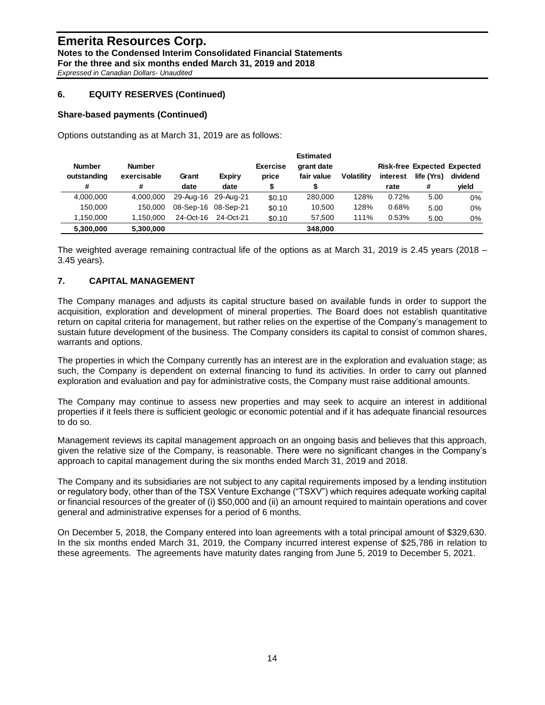## **6. EQUITY RESERVES (Continued)**

#### **Share-based payments (Continued)**

Options outstanding as at March 31, 2019 are as follows:

|               |               |           |                     |                 | <b>Estimated</b> |                   |          |                                    |          |
|---------------|---------------|-----------|---------------------|-----------------|------------------|-------------------|----------|------------------------------------|----------|
| <b>Number</b> | <b>Number</b> |           |                     | <b>Exercise</b> | grant date       |                   |          | <b>Risk-free Expected Expected</b> |          |
| outstanding   | exercisable   | Grant     | Expiry              | price           | fair value       | <b>Volatility</b> | interest | life (Yrs)                         | dividend |
| #             | #             | date      | date                |                 |                  |                   | rate     | #                                  | yield    |
| 4.000.000     | 4.000.000     |           | 29-Aug-16 29-Aug-21 | \$0.10          | 280,000          | 128%              | 0.72%    | 5.00                               | 0%       |
| 150.000       | 150.000       |           | 08-Sep-16 08-Sep-21 | \$0.10          | 10.500           | 128%              | 0.68%    | 5.00                               | 0%       |
| 1.150.000     | 1.150.000     | 24-Oct-16 | 24-Oct-21           | \$0.10          | 57.500           | 111%              | 0.53%    | 5.00                               | 0%       |
| 5,300,000     | 5,300,000     |           |                     |                 | 348,000          |                   |          |                                    |          |

The weighted average remaining contractual life of the options as at March 31, 2019 is 2.45 years (2018 – 3.45 years).

### **7. CAPITAL MANAGEMENT**

The Company manages and adjusts its capital structure based on available funds in order to support the acquisition, exploration and development of mineral properties. The Board does not establish quantitative return on capital criteria for management, but rather relies on the expertise of the Company's management to sustain future development of the business. The Company considers its capital to consist of common shares, warrants and options.

The properties in which the Company currently has an interest are in the exploration and evaluation stage; as such, the Company is dependent on external financing to fund its activities. In order to carry out planned exploration and evaluation and pay for administrative costs, the Company must raise additional amounts.

The Company may continue to assess new properties and may seek to acquire an interest in additional properties if it feels there is sufficient geologic or economic potential and if it has adequate financial resources to do so.

Management reviews its capital management approach on an ongoing basis and believes that this approach, given the relative size of the Company, is reasonable. There were no significant changes in the Company's approach to capital management during the six months ended March 31, 2019 and 2018.

The Company and its subsidiaries are not subject to any capital requirements imposed by a lending institution or regulatory body, other than of the TSX Venture Exchange ("TSXV") which requires adequate working capital or financial resources of the greater of (i) \$50,000 and (ii) an amount required to maintain operations and cover general and administrative expenses for a period of 6 months.

On December 5, 2018, the Company entered into loan agreements with a total principal amount of \$329,630. In the six months ended March 31, 2019, the Company incurred interest expense of \$25,786 in relation to these agreements. The agreements have maturity dates ranging from June 5, 2019 to December 5, 2021.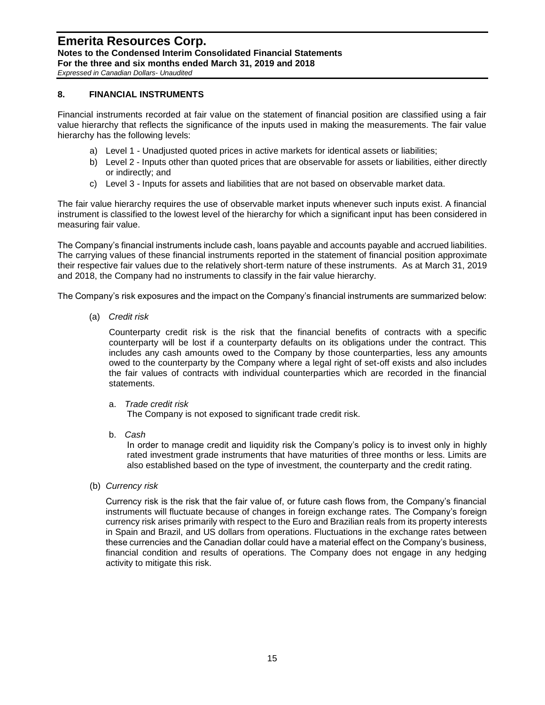*Expressed in Canadian Dollars- Unaudited*

### **8. FINANCIAL INSTRUMENTS**

Financial instruments recorded at fair value on the statement of financial position are classified using a fair value hierarchy that reflects the significance of the inputs used in making the measurements. The fair value hierarchy has the following levels:

- a) Level 1 Unadjusted quoted prices in active markets for identical assets or liabilities;
- b) Level 2 Inputs other than quoted prices that are observable for assets or liabilities, either directly or indirectly; and
- c) Level 3 Inputs for assets and liabilities that are not based on observable market data.

The fair value hierarchy requires the use of observable market inputs whenever such inputs exist. A financial instrument is classified to the lowest level of the hierarchy for which a significant input has been considered in measuring fair value.

The Company's financial instruments include cash, loans payable and accounts payable and accrued liabilities. The carrying values of these financial instruments reported in the statement of financial position approximate their respective fair values due to the relatively short-term nature of these instruments. As at March 31, 2019 and 2018, the Company had no instruments to classify in the fair value hierarchy.

The Company's risk exposures and the impact on the Company's financial instruments are summarized below:

(a) *Credit risk* 

Counterparty credit risk is the risk that the financial benefits of contracts with a specific counterparty will be lost if a counterparty defaults on its obligations under the contract. This includes any cash amounts owed to the Company by those counterparties, less any amounts owed to the counterparty by the Company where a legal right of set-off exists and also includes the fair values of contracts with individual counterparties which are recorded in the financial statements.

a. *Trade credit risk*

The Company is not exposed to significant trade credit risk.

b. *Cash*

In order to manage credit and liquidity risk the Company's policy is to invest only in highly rated investment grade instruments that have maturities of three months or less. Limits are also established based on the type of investment, the counterparty and the credit rating.

(b) *Currency risk* 

Currency risk is the risk that the fair value of, or future cash flows from, the Company's financial instruments will fluctuate because of changes in foreign exchange rates. The Company's foreign currency risk arises primarily with respect to the Euro and Brazilian reals from its property interests in Spain and Brazil, and US dollars from operations. Fluctuations in the exchange rates between these currencies and the Canadian dollar could have a material effect on the Company's business, financial condition and results of operations. The Company does not engage in any hedging activity to mitigate this risk.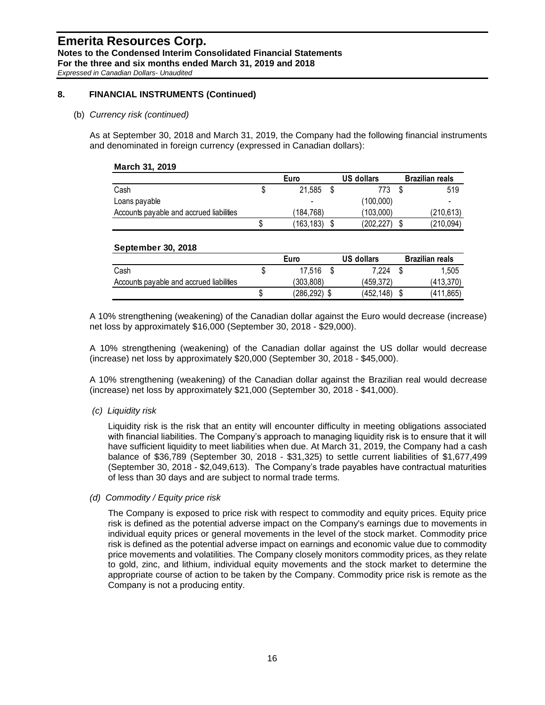### **8. FINANCIAL INSTRUMENTS (Continued)**

#### (b) *Currency risk (continued)*

As at September 30, 2018 and March 31, 2019, the Company had the following financial instruments and denominated in foreign currency (expressed in Canadian dollars):

| March 31, 2019                           |      |            |                   |                        |
|------------------------------------------|------|------------|-------------------|------------------------|
|                                          | Euro |            | <b>US dollars</b> | <b>Brazilian reals</b> |
| Cash                                     |      | 21.585     | 773               | 519                    |
| Loans payable                            |      |            | (100,000)         |                        |
| Accounts payable and accrued liabilities |      | (184.768)  | (103,000)         | (210, 613)             |
|                                          | S    | (163, 183) | (202.227)         | (210, 094)             |

#### **September 30, 2018**

|                                          | Euro |              |  | US dollars | Brazilian reals |
|------------------------------------------|------|--------------|--|------------|-----------------|
| Cash                                     | S    | 17.516       |  | 7.224      | 1.505           |
| Accounts payable and accrued liabilities |      | 303,808)     |  | (459.372)  | (413,370)       |
|                                          |      | (286,292) \$ |  | (452.148)  | (411,865)       |

A 10% strengthening (weakening) of the Canadian dollar against the Euro would decrease (increase) net loss by approximately \$16,000 (September 30, 2018 - \$29,000).

A 10% strengthening (weakening) of the Canadian dollar against the US dollar would decrease (increase) net loss by approximately \$20,000 (September 30, 2018 - \$45,000).

A 10% strengthening (weakening) of the Canadian dollar against the Brazilian real would decrease (increase) net loss by approximately \$21,000 (September 30, 2018 - \$41,000).

### *(c) Liquidity risk*

Liquidity risk is the risk that an entity will encounter difficulty in meeting obligations associated with financial liabilities. The Company's approach to managing liquidity risk is to ensure that it will have sufficient liquidity to meet liabilities when due. At March 31, 2019, the Company had a cash balance of \$36,789 (September 30, 2018 - \$31,325) to settle current liabilities of \$1,677,499 (September 30, 2018 - \$2,049,613). The Company's trade payables have contractual maturities of less than 30 days and are subject to normal trade terms.

*(d) Commodity / Equity price risk*

The Company is exposed to price risk with respect to commodity and equity prices. Equity price risk is defined as the potential adverse impact on the Company's earnings due to movements in individual equity prices or general movements in the level of the stock market. Commodity price risk is defined as the potential adverse impact on earnings and economic value due to commodity price movements and volatilities. The Company closely monitors commodity prices, as they relate to gold, zinc, and lithium, individual equity movements and the stock market to determine the appropriate course of action to be taken by the Company. Commodity price risk is remote as the Company is not a producing entity.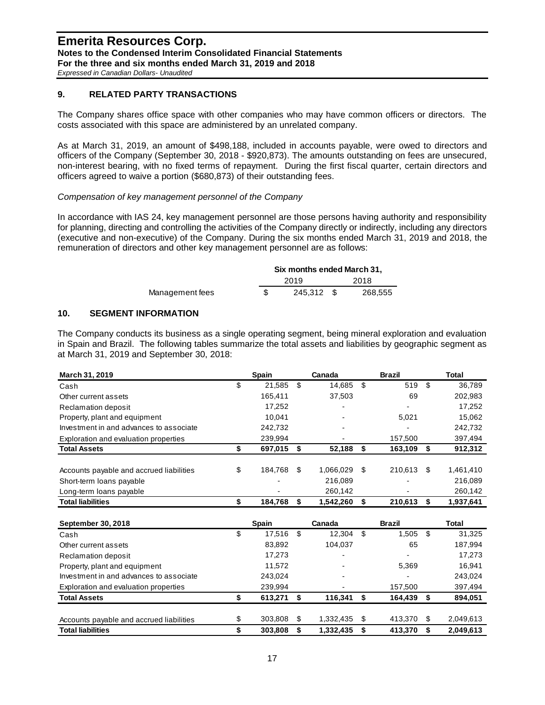*Expressed in Canadian Dollars- Unaudited*

## **9. RELATED PARTY TRANSACTIONS**

The Company shares office space with other companies who may have common officers or directors. The costs associated with this space are administered by an unrelated company.

As at March 31, 2019, an amount of \$498,188, included in accounts payable, were owed to directors and officers of the Company (September 30, 2018 - \$920,873). The amounts outstanding on fees are unsecured, non-interest bearing, with no fixed terms of repayment. During the first fiscal quarter, certain directors and officers agreed to waive a portion (\$680,873) of their outstanding fees.

*Compensation of key management personnel of the Company*

In accordance with IAS 24, key management personnel are those persons having authority and responsibility for planning, directing and controlling the activities of the Company directly or indirectly, including any directors (executive and non-executive) of the Company. During the six months ended March 31, 2019 and 2018, the remuneration of directors and other key management personnel are as follows:

|                 | Six months ended March 31. |            |  |         |  |  |  |
|-----------------|----------------------------|------------|--|---------|--|--|--|
|                 | 2019                       |            |  | 2018    |  |  |  |
| Management fees |                            | 245.312 \$ |  | 268.555 |  |  |  |

## **10. SEGMENT INFORMATION**

The Company conducts its business as a single operating segment, being mineral exploration and evaluation in Spain and Brazil. The following tables summarize the total assets and liabilities by geographic segment as at March 31, 2019 and September 30, 2018:

| March 31, 2019                           | <b>Spain</b>  |    | Canada       |    | <b>Brazil</b> |     | Total     |
|------------------------------------------|---------------|----|--------------|----|---------------|-----|-----------|
| Cash                                     | \$<br>21.585  | \$ | 14,685       | \$ | 519           | \$. | 36,789    |
| Other current assets                     | 165,411       |    | 37,503       |    | 69            |     | 202,983   |
| Reclamation deposit                      | 17,252        |    |              |    |               |     | 17,252    |
| Property, plant and equipment            | 10.041        |    |              |    | 5,021         |     | 15,062    |
| Investment in and advances to associate  | 242.732       |    |              |    |               |     | 242,732   |
| Exploration and evaluation properties    | 239,994       |    |              |    | 157,500       |     | 397,494   |
| <b>Total Assets</b>                      | \$<br>697,015 | \$ | 52,188       | S  | 163,109       | S   | 912,312   |
| Accounts payable and accrued liabilities | \$<br>184,768 | \$ | 1,066,029 \$ |    | 210,613       | \$  | 1,461,410 |
| Short-term loans payable                 |               |    | 216.089      |    |               |     | 216,089   |
| Long-term loans payable                  |               |    | 260,142      |    |               |     | 260,142   |
| <b>Total liabilities</b>                 | 184.768       | S  | 1,542,260    |    | 210,613       |     | 1,937,641 |

| .                                        |    | .            |      |           |    |               |      | .         |
|------------------------------------------|----|--------------|------|-----------|----|---------------|------|-----------|
| September 30, 2018                       |    | <b>Spain</b> |      | Canada    |    | <b>Brazil</b> |      | Total     |
| Cash                                     | \$ | 17.516       | - \$ | 12.304    | \$ | 1,505         | - \$ | 31,325    |
| Other current assets                     |    | 83,892       |      | 104.037   |    | 65            |      | 187,994   |
| <b>Reclamation deposit</b>               |    | 17.273       |      | -         |    |               |      | 17,273    |
| Property, plant and equipment            |    | 11.572       |      |           |    | 5,369         |      | 16,941    |
| Investment in and advances to associate  |    | 243.024      |      |           |    |               |      | 243,024   |
| Exploration and evaluation properties    |    | 239,994      |      |           |    | 157,500       |      | 397,494   |
| <b>Total Assets</b>                      |    | 613,271      | - \$ | 116,341   |    | 164,439       | S    | 894,051   |
|                                          |    |              |      |           |    |               |      |           |
| Accounts payable and accrued liabilities | \$ | 303.808      | \$   | 1,332,435 | S  | 413.370       | S    | 2,049,613 |
| <b>Total liabilities</b>                 | S  | 303.808      | S    | 1.332.435 |    | 413.370       | S    | 2.049.613 |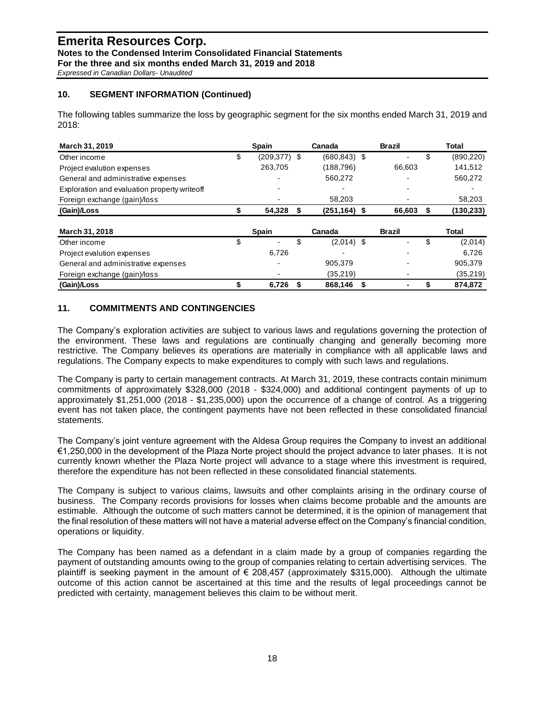*Expressed in Canadian Dollars- Unaudited*

## **10. SEGMENT INFORMATION (Continued)**

The following tables summarize the loss by geographic segment for the six months ended March 31, 2019 and 2018:

| <b>March 31, 2019</b>                        | <b>Spain</b>             |    | Canada          |   | <b>Brazil</b> |    | Total      |
|----------------------------------------------|--------------------------|----|-----------------|---|---------------|----|------------|
| Other income                                 | \$<br>$(209, 377)$ \$    |    | $(680.843)$ \$  |   |               | \$ | (890, 220) |
| Project evalution expenses                   | 263,705                  |    | (188, 796)      |   | 66.603        |    | 141,512    |
| General and administrative expenses          | $\overline{\phantom{0}}$ |    | 560,272         |   |               |    | 560,272    |
| Exploration and evaluation property writeoff |                          |    |                 |   |               |    |            |
| Foreign exchange (gain)/loss                 |                          |    | 58,203          |   |               |    | 58,203     |
| (Gain)/Loss                                  | 54,328                   | S  | $(251, 164)$ \$ |   | 66,603        | S  | (130, 233) |
|                                              |                          |    |                 |   |               |    |            |
| March 31, 2018                               | <b>Spain</b>             |    | Canada          |   | <b>Brazil</b> |    | Total      |
| Other income                                 | \$                       | \$ | $(2,014)$ \$    |   |               | \$ | (2,014)    |
| Project evalution expenses                   | 6.726                    |    |                 |   |               |    | 6.726      |
| General and administrative expenses          |                          |    | 905,379         |   |               |    | 905,379    |
| Foreign exchange (gain)/loss                 |                          |    | (35,219)        |   |               |    | (35,219)   |
| (Gain)/Loss                                  | 6,726                    |    | 868,146         | S |               |    | 874,872    |

## **11. COMMITMENTS AND CONTINGENCIES**

The Company's exploration activities are subject to various laws and regulations governing the protection of the environment. These laws and regulations are continually changing and generally becoming more restrictive. The Company believes its operations are materially in compliance with all applicable laws and regulations. The Company expects to make expenditures to comply with such laws and regulations.

The Company is party to certain management contracts. At March 31, 2019, these contracts contain minimum commitments of approximately \$328,000 (2018 - \$324,000) and additional contingent payments of up to approximately \$1,251,000 (2018 - \$1,235,000) upon the occurrence of a change of control. As a triggering event has not taken place, the contingent payments have not been reflected in these consolidated financial statements.

The Company's joint venture agreement with the Aldesa Group requires the Company to invest an additional €1,250,000 in the development of the Plaza Norte project should the project advance to later phases. It is not currently known whether the Plaza Norte project will advance to a stage where this investment is required, therefore the expenditure has not been reflected in these consolidated financial statements.

The Company is subject to various claims, lawsuits and other complaints arising in the ordinary course of business. The Company records provisions for losses when claims become probable and the amounts are estimable. Although the outcome of such matters cannot be determined, it is the opinion of management that the final resolution of these matters will not have a material adverse effect on the Company's financial condition, operations or liquidity.

The Company has been named as a defendant in a claim made by a group of companies regarding the payment of outstanding amounts owing to the group of companies relating to certain advertising services. The plaintiff is seeking payment in the amount of € 208,457 (approximately \$315,000). Although the ultimate outcome of this action cannot be ascertained at this time and the results of legal proceedings cannot be predicted with certainty, management believes this claim to be without merit.